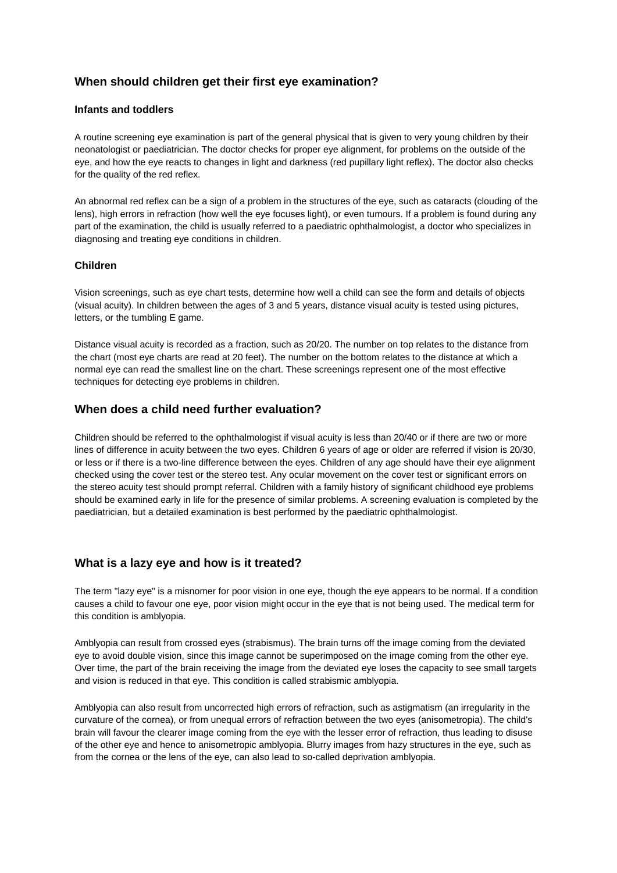# **When should children get their first eye examination?**

#### **Infants and toddlers**

A routine screening eye examination is part of the general physical that is given to very young children by their neonatologist or paediatrician. The doctor checks for proper eye alignment, for problems on the outside of the eye, and how the eye reacts to changes in light and darkness (red pupillary light reflex). The doctor also checks for the quality of the red reflex.

An abnormal red reflex can be a sign of a problem in the structures of the eye, such as cataracts (clouding of the lens), high errors in refraction (how well the eye focuses light), or even tumours. If a problem is found during any part of the examination, the child is usually referred to a paediatric ophthalmologist, a doctor who specializes in diagnosing and treating eye conditions in children.

#### **Children**

Vision screenings, such as eye chart tests, determine how well a child can see the form and details of objects (visual acuity). In children between the ages of 3 and 5 years, distance visual acuity is tested using pictures, letters, or the tumbling E game.

Distance visual acuity is recorded as a fraction, such as 20/20. The number on top relates to the distance from the chart (most eye charts are read at 20 feet). The number on the bottom relates to the distance at which a normal eye can read the smallest line on the chart. These screenings represent one of the most effective techniques for detecting eye problems in children.

### **When does a child need further evaluation?**

Children should be referred to the ophthalmologist if visual acuity is less than 20/40 or if there are two or more lines of difference in acuity between the two eyes. Children 6 years of age or older are referred if vision is 20/30, or less or if there is a two-line difference between the eyes. Children of any age should have their eye alignment checked using the cover test or the stereo test. Any ocular movement on the cover test or significant errors on the stereo acuity test should prompt referral. Children with a family history of significant childhood eye problems should be examined early in life for the presence of similar problems. A screening evaluation is completed by the paediatrician, but a detailed examination is best performed by the paediatric ophthalmologist.

### **What is a lazy eye and how is it treated?**

The term "lazy eye" is a misnomer for poor vision in one eye, though the eye appears to be normal. If a condition causes a child to favour one eye, poor vision might occur in the eye that is not being used. The medical term for this condition is amblyopia.

Amblyopia can result from crossed eyes (strabismus). The brain turns off the image coming from the deviated eye to avoid double vision, since this image cannot be superimposed on the image coming from the other eye. Over time, the part of the brain receiving the image from the deviated eye loses the capacity to see small targets and vision is reduced in that eye. This condition is called strabismic amblyopia.

Amblyopia can also result from uncorrected high errors of refraction, such as astigmatism (an irregularity in the curvature of the cornea), or from unequal errors of refraction between the two eyes (anisometropia). The child's brain will favour the clearer image coming from the eye with the lesser error of refraction, thus leading to disuse of the other eye and hence to anisometropic amblyopia. Blurry images from hazy structures in the eye, such as from the cornea or the lens of the eye, can also lead to so-called deprivation amblyopia.